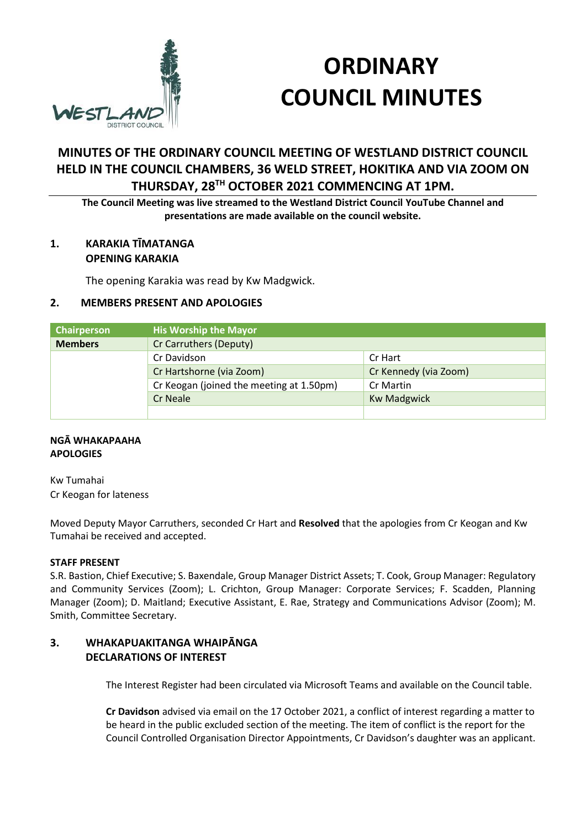

# **ORDINARY COUNCIL MINUTES**

## **MINUTES OF THE ORDINARY COUNCIL MEETING OF WESTLAND DISTRICT COUNCIL HELD IN THE COUNCIL CHAMBERS, 36 WELD STREET, HOKITIKA AND VIA ZOOM ON THURSDAY, 28TH OCTOBER 2021 COMMENCING AT 1PM.**

**The Council Meeting was live streamed to the Westland District Council YouTube Channel and presentations are made available on the council website.**

#### **1. KARAKIA TĪMATANGA OPENING KARAKIA**

The opening Karakia was read by Kw Madgwick.

## **2. MEMBERS PRESENT AND APOLOGIES**

| Chairperson    | <b>His Worship the Mayor</b>             |                       |
|----------------|------------------------------------------|-----------------------|
| <b>Members</b> | Cr Carruthers (Deputy)                   |                       |
|                | Cr Davidson                              | Cr Hart               |
|                | Cr Hartshorne (via Zoom)                 | Cr Kennedy (via Zoom) |
|                | Cr Keogan (joined the meeting at 1.50pm) | Cr Martin             |
|                | Cr Neale                                 | <b>Kw Madgwick</b>    |
|                |                                          |                       |

#### **NGĀ WHAKAPAAHA APOLOGIES**

Kw Tumahai Cr Keogan for lateness

Moved Deputy Mayor Carruthers, seconded Cr Hart and **Resolved** that the apologies from Cr Keogan and Kw Tumahai be received and accepted.

#### **STAFF PRESENT**

S.R. Bastion, Chief Executive; S. Baxendale, Group Manager District Assets; T. Cook, Group Manager: Regulatory and Community Services (Zoom); L. Crichton, Group Manager: Corporate Services; F. Scadden, Planning Manager (Zoom); D. Maitland; Executive Assistant, E. Rae, Strategy and Communications Advisor (Zoom); M. Smith, Committee Secretary.

## **3. WHAKAPUAKITANGA WHAIPĀNGA DECLARATIONS OF INTEREST**

The Interest Register had been circulated via Microsoft Teams and available on the Council table.

**Cr Davidson** advised via email on the 17 October 2021, a conflict of interest regarding a matter to be heard in the public excluded section of the meeting. The item of conflict is the report for the Council Controlled Organisation Director Appointments, Cr Davidson's daughter was an applicant.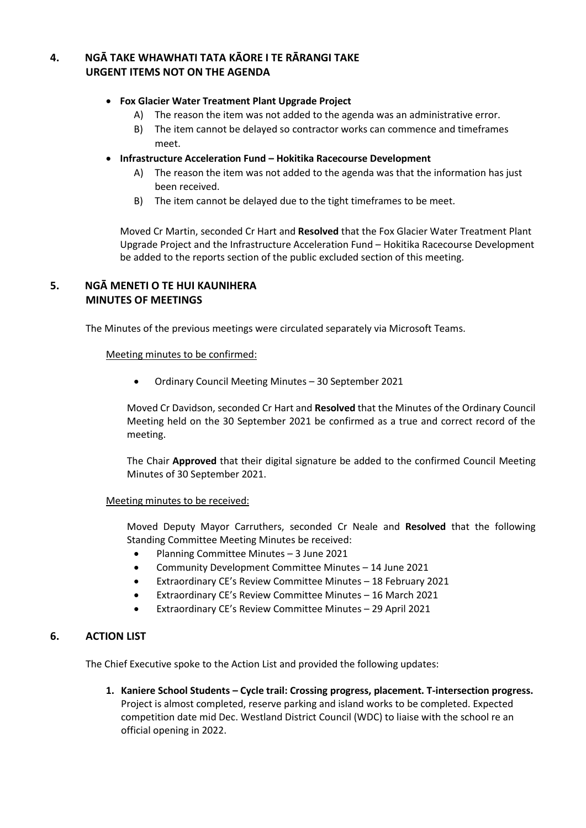## **4. NGĀ TAKE WHAWHATI TATA KĀORE I TE RĀRANGI TAKE URGENT ITEMS NOT ON THE AGENDA**

#### **Fox Glacier Water Treatment Plant Upgrade Project**

- A) The reason the item was not added to the agenda was an administrative error.
- B) The item cannot be delayed so contractor works can commence and timeframes meet.
- **Infrastructure Acceleration Fund – Hokitika Racecourse Development**
	- A) The reason the item was not added to the agenda was that the information has just been received.
	- B) The item cannot be delayed due to the tight timeframes to be meet.

Moved Cr Martin, seconded Cr Hart and **Resolved** that the Fox Glacier Water Treatment Plant Upgrade Project and the Infrastructure Acceleration Fund – Hokitika Racecourse Development be added to the reports section of the public excluded section of this meeting.

#### **5. NGĀ MENETI O TE HUI KAUNIHERA MINUTES OF MEETINGS**

The Minutes of the previous meetings were circulated separately via Microsoft Teams.

#### Meeting minutes to be confirmed:

Ordinary Council Meeting Minutes – 30 September 2021

Moved Cr Davidson, seconded Cr Hart and **Resolved** that the Minutes of the Ordinary Council Meeting held on the 30 September 2021 be confirmed as a true and correct record of the meeting.

The Chair **Approved** that their digital signature be added to the confirmed Council Meeting Minutes of 30 September 2021.

#### Meeting minutes to be received:

Moved Deputy Mayor Carruthers, seconded Cr Neale and **Resolved** that the following Standing Committee Meeting Minutes be received:

- Planning Committee Minutes 3 June 2021
- Community Development Committee Minutes 14 June 2021
- Extraordinary CE's Review Committee Minutes 18 February 2021
- Extraordinary CE's Review Committee Minutes 16 March 2021
- Extraordinary CE's Review Committee Minutes 29 April 2021

#### **6. ACTION LIST**

The Chief Executive spoke to the Action List and provided the following updates:

**1. Kaniere School Students – Cycle trail: Crossing progress, placement. T-intersection progress.** Project is almost completed, reserve parking and island works to be completed. Expected competition date mid Dec. Westland District Council (WDC) to liaise with the school re an official opening in 2022.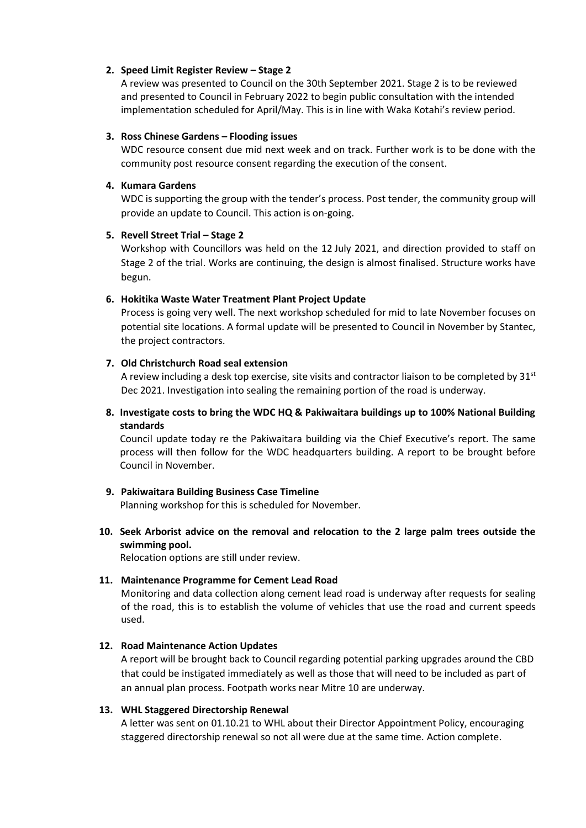#### **2. Speed Limit Register Review – Stage 2**

A review was presented to Council on the 30th September 2021. Stage 2 is to be reviewed and presented to Council in February 2022 to begin public consultation with the intended implementation scheduled for April/May. This is in line with Waka Kotahi's review period.

#### **3. Ross Chinese Gardens – Flooding issues**

WDC resource consent due mid next week and on track. Further work is to be done with the community post resource consent regarding the execution of the consent.

#### **4. Kumara Gardens**

WDC is supporting the group with the tender's process. Post tender, the community group will provide an update to Council. This action is on-going.

#### **5. Revell Street Trial – Stage 2**

Workshop with Councillors was held on the 12 July 2021, and direction provided to staff on Stage 2 of the trial. Works are continuing, the design is almost finalised. Structure works have begun.

#### **6. Hokitika Waste Water Treatment Plant Project Update**

Process is going very well. The next workshop scheduled for mid to late November focuses on potential site locations. A formal update will be presented to Council in November by Stantec, the project contractors.

#### **7. Old Christchurch Road seal extension**

A review including a desk top exercise, site visits and contractor liaison to be completed by  $31<sup>st</sup>$ Dec 2021. Investigation into sealing the remaining portion of the road is underway.

**8. Investigate costs to bring the WDC HQ & Pakiwaitara buildings up to 100% National Building standards**

Council update today re the Pakiwaitara building via the Chief Executive's report. The same process will then follow for the WDC headquarters building. A report to be brought before Council in November.

#### **9. Pakiwaitara Building Business Case Timeline**

Planning workshop for this is scheduled for November.

**10. Seek Arborist advice on the removal and relocation to the 2 large palm trees outside the swimming pool.**

Relocation options are still under review.

#### **11. Maintenance Programme for Cement Lead Road**

Monitoring and data collection along cement lead road is underway after requests for sealing of the road, this is to establish the volume of vehicles that use the road and current speeds used.

#### **12. Road Maintenance Action Updates**

A report will be brought back to Council regarding potential parking upgrades around the CBD that could be instigated immediately as well as those that will need to be included as part of an annual plan process. Footpath works near Mitre 10 are underway.

#### **13. WHL Staggered Directorship Renewal**

A letter was sent on 01.10.21 to WHL about their Director Appointment Policy, encouraging staggered directorship renewal so not all were due at the same time. Action complete.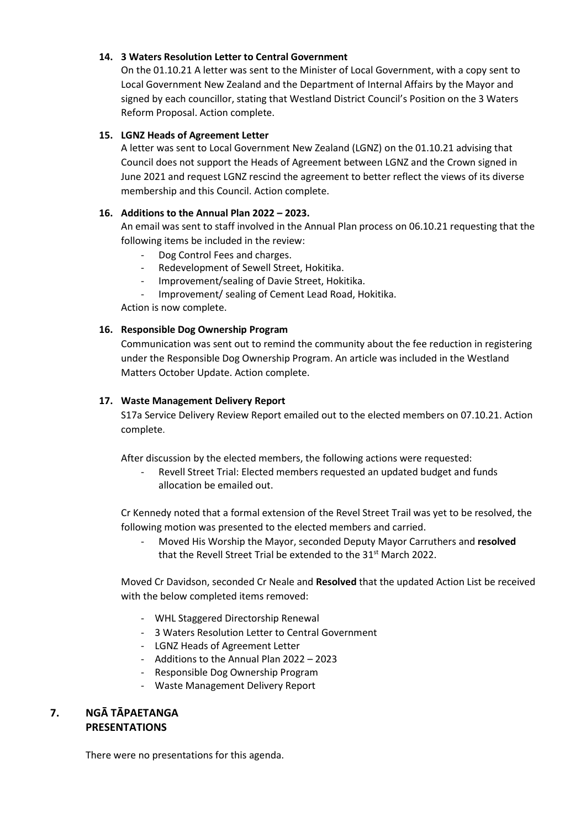#### **14. 3 Waters Resolution Letter to Central Government**

On the 01.10.21 A letter was sent to the Minister of Local Government, with a copy sent to Local Government New Zealand and the Department of Internal Affairs by the Mayor and signed by each councillor, stating that Westland District Council's Position on the 3 Waters Reform Proposal. Action complete.

#### **15. LGNZ Heads of Agreement Letter**

A letter was sent to Local Government New Zealand (LGNZ) on the 01.10.21 advising that Council does not support the Heads of Agreement between LGNZ and the Crown signed in June 2021 and request LGNZ rescind the agreement to better reflect the views of its diverse membership and this Council. Action complete.

#### **16. Additions to the Annual Plan 2022 – 2023.**

An email was sent to staff involved in the Annual Plan process on 06.10.21 requesting that the following items be included in the review:

- Dog Control Fees and charges.
- Redevelopment of Sewell Street, Hokitika.
- Improvement/sealing of Davie Street, Hokitika.
- Improvement/ sealing of Cement Lead Road, Hokitika.

Action is now complete.

#### **16. Responsible Dog Ownership Program**

Communication was sent out to remind the community about the fee reduction in registering under the Responsible Dog Ownership Program. An article was included in the Westland Matters October Update. Action complete.

#### **17. Waste Management Delivery Report**

S17a Service Delivery Review Report emailed out to the elected members on 07.10.21. Action complete.

After discussion by the elected members, the following actions were requested:

Revell Street Trial: Elected members requested an updated budget and funds allocation be emailed out.

Cr Kennedy noted that a formal extension of the Revel Street Trail was yet to be resolved, the following motion was presented to the elected members and carried.

- Moved His Worship the Mayor, seconded Deputy Mayor Carruthers and **resolved** that the Revell Street Trial be extended to the 31<sup>st</sup> March 2022.

Moved Cr Davidson, seconded Cr Neale and **Resolved** that the updated Action List be received with the below completed items removed:

- WHL Staggered Directorship Renewal
- 3 Waters Resolution Letter to Central Government
- LGNZ Heads of Agreement Letter
- Additions to the Annual Plan 2022 2023
- Responsible Dog Ownership Program
- Waste Management Delivery Report

### **7. NGĀ TĀPAETANGA PRESENTATIONS**

There were no presentations for this agenda.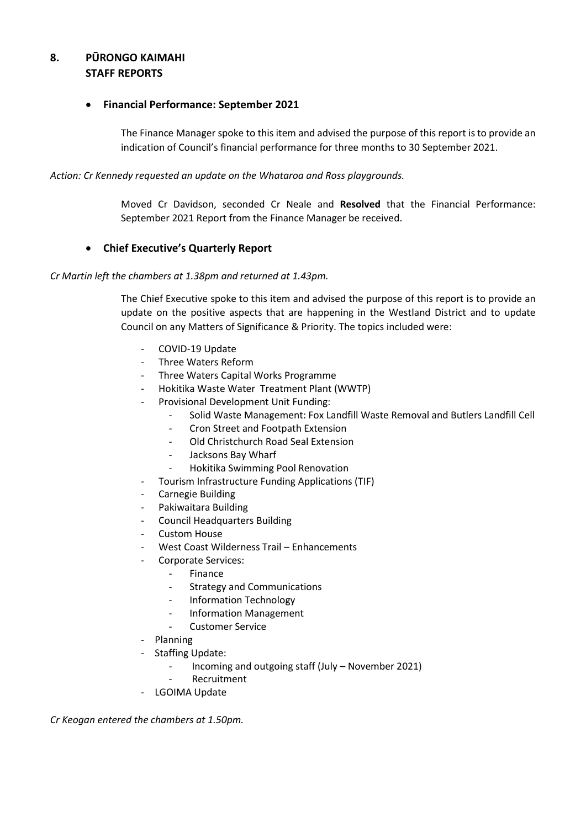## **8. PŪRONGO KAIMAHI STAFF REPORTS**

#### **Financial Performance: September 2021**

The Finance Manager spoke to this item and advised the purpose of this report is to provide an indication of Council's financial performance for three months to 30 September 2021.

*Action: Cr Kennedy requested an update on the Whataroa and Ross playgrounds.*

Moved Cr Davidson, seconded Cr Neale and **Resolved** that the Financial Performance: September 2021 Report from the Finance Manager be received.

#### **Chief Executive's Quarterly Report**

*Cr Martin left the chambers at 1.38pm and returned at 1.43pm.*

The Chief Executive spoke to this item and advised the purpose of this report is to provide an update on the positive aspects that are happening in the Westland District and to update Council on any Matters of Significance & Priority. The topics included were:

- COVID-19 Update
- Three Waters Reform
- Three Waters Capital Works Programme
- Hokitika Waste Water Treatment Plant (WWTP)
- Provisional Development Unit Funding:
	- Solid Waste Management: Fox Landfill Waste Removal and Butlers Landfill Cell
	- Cron Street and Footpath Extension
	- Old Christchurch Road Seal Extension
	- Jacksons Bay Wharf
	- Hokitika Swimming Pool Renovation
- Tourism Infrastructure Funding Applications (TIF)
- Carnegie Building
- Pakiwaitara Building
- Council Headquarters Building
- Custom House
- West Coast Wilderness Trail Enhancements
- Corporate Services:
	- **Finance**
	- Strategy and Communications
	- Information Technology
	- Information Management
	- Customer Service
- Planning
- Staffing Update:
	- Incoming and outgoing staff (July November 2021)
	- **Recruitment**
- LGOIMA Update

*Cr Keogan entered the chambers at 1.50pm.*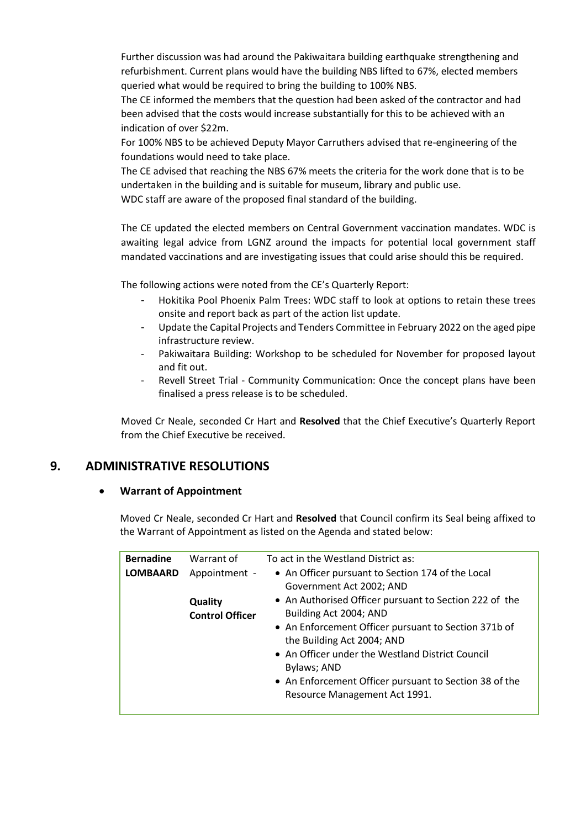Further discussion was had around the Pakiwaitara building earthquake strengthening and refurbishment. Current plans would have the building NBS lifted to 67%, elected members queried what would be required to bring the building to 100% NBS.

The CE informed the members that the question had been asked of the contractor and had been advised that the costs would increase substantially for this to be achieved with an indication of over \$22m.

For 100% NBS to be achieved Deputy Mayor Carruthers advised that re-engineering of the foundations would need to take place.

The CE advised that reaching the NBS 67% meets the criteria for the work done that is to be undertaken in the building and is suitable for museum, library and public use. WDC staff are aware of the proposed final standard of the building.

The CE updated the elected members on Central Government vaccination mandates. WDC is awaiting legal advice from LGNZ around the impacts for potential local government staff mandated vaccinations and are investigating issues that could arise should this be required.

The following actions were noted from the CE's Quarterly Report:

- Hokitika Pool Phoenix Palm Trees: WDC staff to look at options to retain these trees onsite and report back as part of the action list update.
- Update the Capital Projects and Tenders Committee in February 2022 on the aged pipe infrastructure review.
- Pakiwaitara Building: Workshop to be scheduled for November for proposed layout and fit out.
- Revell Street Trial Community Communication: Once the concept plans have been finalised a press release is to be scheduled.

Moved Cr Neale, seconded Cr Hart and **Resolved** that the Chief Executive's Quarterly Report from the Chief Executive be received.

## **9. ADMINISTRATIVE RESOLUTIONS**

#### **Warrant of Appointment**

Moved Cr Neale, seconded Cr Hart and **Resolved** that Council confirm its Seal being affixed to the Warrant of Appointment as listed on the Agenda and stated below:

| <b>Bernadine</b> | Warrant of                                         | To act in the Westland District as:                                                                                                                                                                                                                                                                                                                                                  |
|------------------|----------------------------------------------------|--------------------------------------------------------------------------------------------------------------------------------------------------------------------------------------------------------------------------------------------------------------------------------------------------------------------------------------------------------------------------------------|
| <b>LOMBAARD</b>  | Appointment -<br>Quality<br><b>Control Officer</b> | • An Officer pursuant to Section 174 of the Local<br>Government Act 2002; AND<br>• An Authorised Officer pursuant to Section 222 of the<br>Building Act 2004; AND<br>• An Enforcement Officer pursuant to Section 371b of<br>the Building Act 2004; AND<br>• An Officer under the Westland District Council<br>Bylaws; AND<br>• An Enforcement Officer pursuant to Section 38 of the |
|                  |                                                    | Resource Management Act 1991.                                                                                                                                                                                                                                                                                                                                                        |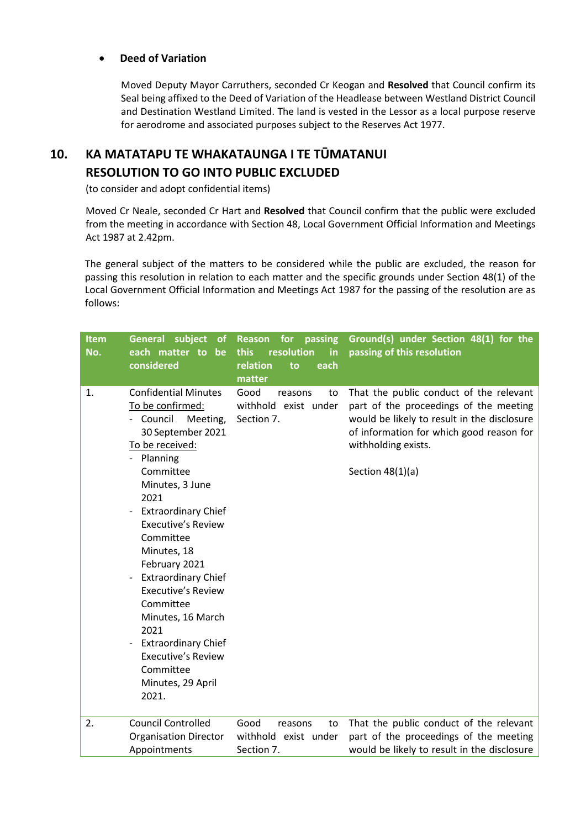#### **Deed of Variation**

Moved Deputy Mayor Carruthers, seconded Cr Keogan and **Resolved** that Council confirm its Seal being affixed to the Deed of Variation of the Headlease between Westland District Council and Destination Westland Limited. The land is vested in the Lessor as a local purpose reserve for aerodrome and associated purposes subject to the Reserves Act 1977.

# **10. KA MATATAPU TE WHAKATAUNGA I TE TŪMATANUI RESOLUTION TO GO INTO PUBLIC EXCLUDED**

(to consider and adopt confidential items)

 Moved Cr Neale, seconded Cr Hart and **Resolved** that Council confirm that the public were excluded from the meeting in accordance with Section 48, Local Government Official Information and Meetings Act 1987 at 2.42pm.

The general subject of the matters to be considered while the public are excluded, the reason for passing this resolution in relation to each matter and the specific grounds under Section 48(1) of the Local Government Official Information and Meetings Act 1987 for the passing of the resolution are as follows:

| <b>Item</b><br>No. | General subject<br><b>of</b><br>each matter to<br>be<br>considered                                                                                                                                                                                                                                                                                                                                                                                                                                                                                | for passing<br>Reason<br>resolution<br>this<br>in<br>relation<br>each<br>to<br>matter | Ground(s) under Section 48(1) for the<br>passing of this resolution                                                                                                                                                       |
|--------------------|---------------------------------------------------------------------------------------------------------------------------------------------------------------------------------------------------------------------------------------------------------------------------------------------------------------------------------------------------------------------------------------------------------------------------------------------------------------------------------------------------------------------------------------------------|---------------------------------------------------------------------------------------|---------------------------------------------------------------------------------------------------------------------------------------------------------------------------------------------------------------------------|
| 1.                 | <b>Confidential Minutes</b><br>To be confirmed:<br>- Council<br>Meeting,<br>30 September 2021<br>To be received:<br>- Planning<br>Committee<br>Minutes, 3 June<br>2021<br><b>Extraordinary Chief</b><br>$\overline{\phantom{a}}$<br><b>Executive's Review</b><br>Committee<br>Minutes, 18<br>February 2021<br><b>Extraordinary Chief</b><br><b>Executive's Review</b><br>Committee<br>Minutes, 16 March<br>2021<br><b>Extraordinary Chief</b><br>$\overline{\phantom{a}}$<br><b>Executive's Review</b><br>Committee<br>Minutes, 29 April<br>2021. | Good<br>reasons<br>to<br>withhold exist under<br>Section 7.                           | That the public conduct of the relevant<br>part of the proceedings of the meeting<br>would be likely to result in the disclosure<br>of information for which good reason for<br>withholding exists.<br>Section $48(1)(a)$ |
| 2.                 | <b>Council Controlled</b><br><b>Organisation Director</b><br>Appointments                                                                                                                                                                                                                                                                                                                                                                                                                                                                         | Good<br>reasons<br>to<br>withhold exist under<br>Section 7.                           | That the public conduct of the relevant<br>part of the proceedings of the meeting<br>would be likely to result in the disclosure                                                                                          |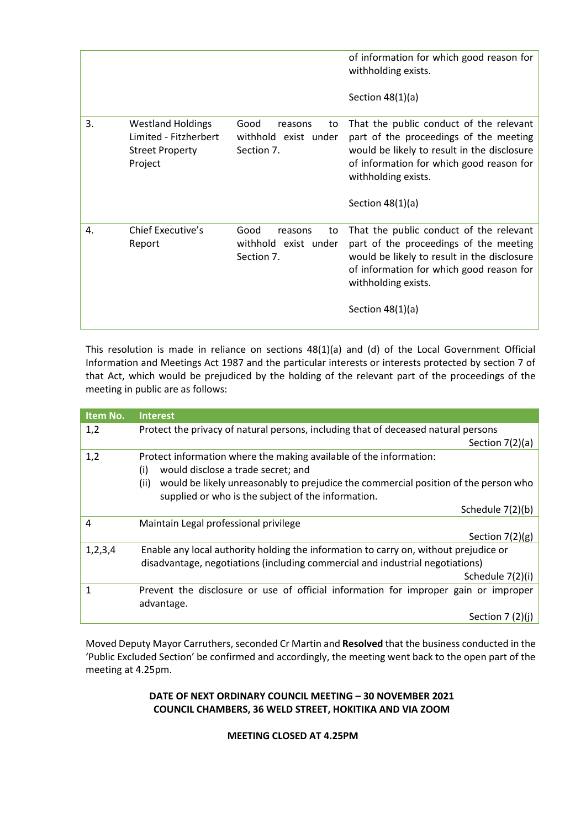|    |                                                                                        |                                                             | of information for which good reason for<br>withholding exists.<br>Section $48(1)(a)$                                                                                                                                     |
|----|----------------------------------------------------------------------------------------|-------------------------------------------------------------|---------------------------------------------------------------------------------------------------------------------------------------------------------------------------------------------------------------------------|
| 3. | <b>Westland Holdings</b><br>Limited - Fitzherbert<br><b>Street Property</b><br>Project | Good<br>to<br>reasons<br>withhold exist under<br>Section 7. | That the public conduct of the relevant<br>part of the proceedings of the meeting<br>would be likely to result in the disclosure<br>of information for which good reason for<br>withholding exists.<br>Section $48(1)(a)$ |
| 4. | Chief Executive's<br>Report                                                            | Good<br>to<br>reasons<br>withhold exist under<br>Section 7. | That the public conduct of the relevant<br>part of the proceedings of the meeting<br>would be likely to result in the disclosure<br>of information for which good reason for<br>withholding exists.<br>Section $48(1)(a)$ |

This resolution is made in reliance on sections 48(1)(a) and (d) of the Local Government Official Information and Meetings Act 1987 and the particular interests or interests protected by section 7 of that Act, which would be prejudiced by the holding of the relevant part of the proceedings of the meeting in public are as follows:

| Item No.   | <b>Interest</b>                                                                             |
|------------|---------------------------------------------------------------------------------------------|
| 1,2        | Protect the privacy of natural persons, including that of deceased natural persons          |
|            | Section $7(2)(a)$                                                                           |
| 1,2        | Protect information where the making available of the information:                          |
|            | (i)<br>would disclose a trade secret; and                                                   |
|            | would be likely unreasonably to prejudice the commercial position of the person who<br>(ii) |
|            | supplied or who is the subject of the information.                                          |
|            | Schedule 7(2)(b)                                                                            |
| 4          | Maintain Legal professional privilege                                                       |
|            | Section $7(2)(g)$                                                                           |
| 1, 2, 3, 4 | Enable any local authority holding the information to carry on, without prejudice or        |
|            | disadvantage, negotiations (including commercial and industrial negotiations)               |
|            | Schedule 7(2)(i)                                                                            |
| 1          | Prevent the disclosure or use of official information for improper gain or improper         |
|            | advantage.                                                                                  |
|            | Section $7(2)(i)$                                                                           |

Moved Deputy Mayor Carruthers, seconded Cr Martin and **Resolved** that the business conducted in the 'Public Excluded Section' be confirmed and accordingly, the meeting went back to the open part of the meeting at 4.25pm.

#### **DATE OF NEXT ORDINARY COUNCIL MEETING – 30 NOVEMBER 2021 COUNCIL CHAMBERS, 36 WELD STREET, HOKITIKA AND VIA ZOOM**

**MEETING CLOSED AT 4.25PM**